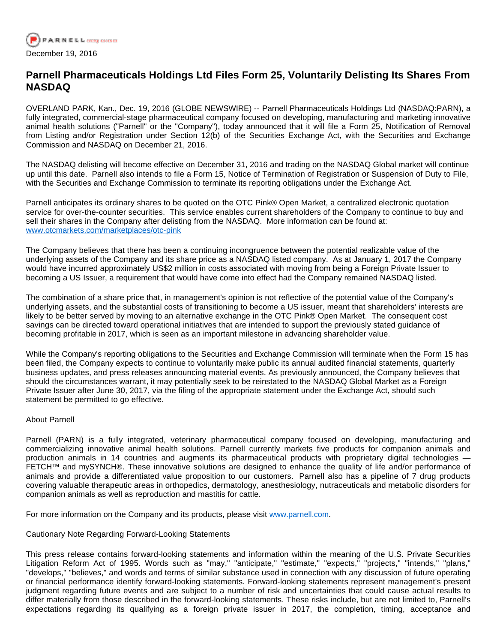

## **Parnell Pharmaceuticals Holdings Ltd Files Form 25, Voluntarily Delisting Its Shares From NASDAQ**

OVERLAND PARK, Kan., Dec. 19, 2016 (GLOBE NEWSWIRE) -- Parnell Pharmaceuticals Holdings Ltd (NASDAQ:PARN), a fully integrated, commercial-stage pharmaceutical company focused on developing, manufacturing and marketing innovative animal health solutions ("Parnell" or the "Company"), today announced that it will file a Form 25, Notification of Removal from Listing and/or Registration under Section 12(b) of the Securities Exchange Act, with the Securities and Exchange Commission and NASDAQ on December 21, 2016.

The NASDAQ delisting will become effective on December 31, 2016 and trading on the NASDAQ Global market will continue up until this date. Parnell also intends to file a Form 15, Notice of Termination of Registration or Suspension of Duty to File, with the Securities and Exchange Commission to terminate its reporting obligations under the Exchange Act.

Parnell anticipates its ordinary shares to be quoted on the OTC Pink® Open Market, a centralized electronic quotation service for over-the-counter securities. This service enables current shareholders of the Company to continue to buy and sell their shares in the Company after delisting from the NASDAQ. More information can be found at: [www.otcmarkets.com/marketplaces/otc-pink](https://www.globenewswire.com/Tracker?data=BQ2vWruXT7uPB1Vf7qOKUzV_0dlnRzxaan4mbEjACattSGtOb6A4r-hU6DTxfAmPxg9pwQFt3nG5ll3hXQVeZuIUESP8Ig7jUBao7qt4MSy5mmZRyaXhTtS_43BoYQKGfySODJ4I69JQ2ZTM5KQuTg==)

The Company believes that there has been a continuing incongruence between the potential realizable value of the underlying assets of the Company and its share price as a NASDAQ listed company. As at January 1, 2017 the Company would have incurred approximately US\$2 million in costs associated with moving from being a Foreign Private Issuer to becoming a US Issuer, a requirement that would have come into effect had the Company remained NASDAQ listed.

The combination of a share price that, in management's opinion is not reflective of the potential value of the Company's underlying assets, and the substantial costs of transitioning to become a US issuer, meant that shareholders' interests are likely to be better served by moving to an alternative exchange in the OTC Pink® Open Market. The consequent cost savings can be directed toward operational initiatives that are intended to support the previously stated guidance of becoming profitable in 2017, which is seen as an important milestone in advancing shareholder value.

While the Company's reporting obligations to the Securities and Exchange Commission will terminate when the Form 15 has been filed, the Company expects to continue to voluntarily make public its annual audited financial statements, quarterly business updates, and press releases announcing material events. As previously announced, the Company believes that should the circumstances warrant, it may potentially seek to be reinstated to the NASDAQ Global Market as a Foreign Private Issuer after June 30, 2017, via the filing of the appropriate statement under the Exchange Act, should such statement be permitted to go effective.

## About Parnell

Parnell (PARN) is a fully integrated, veterinary pharmaceutical company focused on developing, manufacturing and commercializing innovative animal health solutions. Parnell currently markets five products for companion animals and production animals in 14 countries and augments its pharmaceutical products with proprietary digital technologies — FETCH™ and mySYNCH®. These innovative solutions are designed to enhance the quality of life and/or performance of animals and provide a differentiated value proposition to our customers. Parnell also has a pipeline of 7 drug products covering valuable therapeutic areas in orthopedics, dermatology, anesthesiology, nutraceuticals and metabolic disorders for companion animals as well as reproduction and mastitis for cattle.

For more information on the Company and its products, please visit [www.parnell.com](https://www.globenewswire.com/Tracker?data=MgfdiESw3Q7OKROwsPK6QovoayzOIEtfFzmGsURa_EKMJUXyhdGBQM5PuTF6gUmIw18ZWXUcUIEOkqKJm5ItXA==).

Cautionary Note Regarding Forward-Looking Statements

This press release contains forward-looking statements and information within the meaning of the U.S. Private Securities Litigation Reform Act of 1995. Words such as "may," "anticipate," "estimate," "expects," "projects," "intends," "plans," "develops," "believes," and words and terms of similar substance used in connection with any discussion of future operating or financial performance identify forward-looking statements. Forward-looking statements represent management's present judgment regarding future events and are subject to a number of risk and uncertainties that could cause actual results to differ materially from those described in the forward-looking statements. These risks include, but are not limited to, Parnell's expectations regarding its qualifying as a foreign private issuer in 2017, the completion, timing, acceptance and